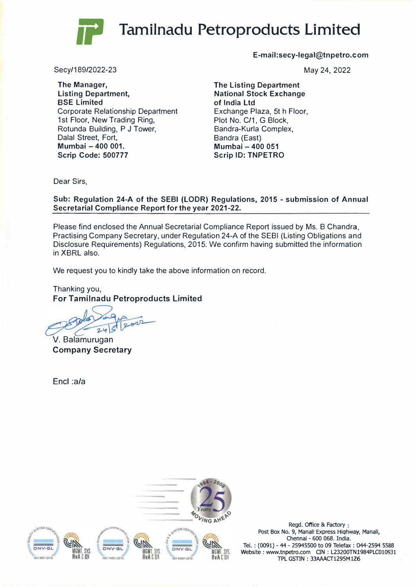## **Tamilnadu Petroproducts Limited**

**E-mail:secy-legal@tnpetro.com**

May 24, 2022

**The Listing Department National Stock Exchange of India Ltd**  Exchange Plaza, 5t h Floor, Plot No. C/1, G Block, Bandra-Kurla Complex, Bandra (East) **Mumbai -400 051 Scrip ID: TNPETRO** 

**The Manager,** 

Secy/189/2022-23

**Listing Department, SSE Limited**  Corporate Relationship Department 1st Floor, New Trading Ring, Rotunda Building, P J Tower, Dalal Street, Fort, **Mumbai -400 001. Scrip Code: 500777** 

Dear Sirs,

**Sub: Regulation 24-A of the SEBI (LODR) Regulations, 2015 - submission of Annual Secretarial Compliance Report for the year 2021-22.** 

Please find enclosed the Annual Secretarial Compliance Report issued by Ms. B Chandra, Practising Company Secretary, under Regulation 24-A of the SEBI (Listing Obligations and Disclosure Requirements) Regulations, 2015. We confirm having submitted the information in XBRL also.

We request you to kindly take the above information on record.

Thanking you, **For Tamilnadu Petroproducts Limited** 

 $n^2$ 

V. Balamurugan **Company Secretary**

Encl :a/a



Regd. Office & Factory Post Box No. 9, Manali Express Highway, Manali, Cherinai - 600 068. India. Tel. : (0091) - 44 - 25945500 to 09 Telefax : 044-2594 5588 Website: www.tnpetro.com CIN : L23200TN1984PLC010931 TPL GSTIN : 33AAACT1295M126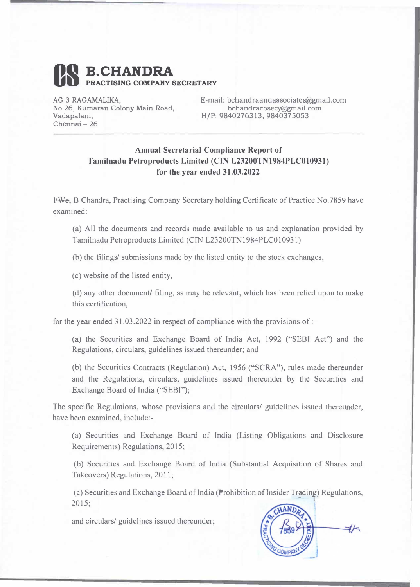

AG 3 RAGAMALIKA, **No.26, Kumaran Colony Main Road, Vadapalani,**  Chennai - **26** 

E-mail: bchandraandassociates@grnail.com **bchandracosecy@gmail.com H/P: 9840276313,9840375053** 

## **Annual Secretarial Compliance Report of Tamilnadu Petroproducts Limited (CTN L23200TN1984PLC010931) for the year ended 31.03.2022**

l/We, B Chandra, Practising Company Secretary holding Certificate of Practice No.7859 have examined:

(a) All the documents and records made available to us and explanation provided by Tamilnadu Petroproducts Limited (CTN L23200TN1984PLC0 10931)

(b) the filings/ submissions made by the listed entity to the stock exchanges,

(c) website of the listed entity,

(d) any other document/ filing, as may be relevant, which has been relied upon to make this certification,

for the year ended 31.03.2022 in respect of compliance with the provisions of:

(a) the Securities and Exchange Board of India Act, 1992 ("SEBI Act") and the Regulations, circulars, guidelines issued thereunder; and

(b) the Securities Contracts (Regulation) Act, 1956 ("SCRA"), rules made thereunder and the Regulations, circulars, guidelines issued thereunder by lhe Securities and Exchange Board of India ("SEBI");

The specific Regulations, whose provisions and the circulars/ guidelines issued thereunder, have been examined, include:-

(a) Securities and Exchange Board of India (Listing Obligations and Disclosure Requirements) Regulations, 2015;

(b) Securities and Exchange Board of India (Substantial Acquisition of Shares and Takeovers) Regulations, 2011;

(c) Securities and Exchange Board of India (Prohibition of Insider Trading) Regulations, 2015;

and circulars/ guidelines issued thereunder;

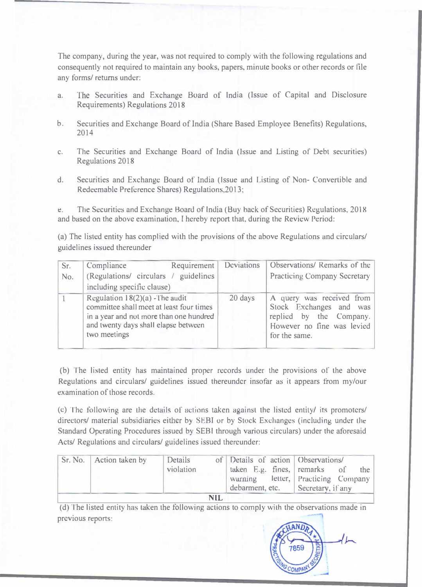The company, during the year, was not required to comply with the following regulations and consequently not required to maintain any books, papers, minute books or other records or file any forms/ returns under:

- a. The Securities and Exchange Board of India (Issue of Capital and Disclosure Requirements) Regulations 2018
- b. Securities and Exchange Board of India (Share Based Employee Benefits) Regulations, 2014
- c. The Securities and Exchange Board of India (Issue and Listing of Debt securities) Regulations 2018
- d. Securities and Exchange Board of India (Jssue and Listing of Non- Convertible and Redeemable Preference Shares) Regulations,2013;

e. The Securities and Exchange Hoard of India (Buy hack of Securities) Regulations, 2018 and based on the above examination, I hereby report that, during the Review Period:

(a) The listed entity has complied with the provisions of the above Regulations and circulars/ guidelines issued thereunder

| Sr. | Requirement<br>Compliance                                                                                                                                                       | Deviations | Observations/ Remarks of the                                                                                                   |  |
|-----|---------------------------------------------------------------------------------------------------------------------------------------------------------------------------------|------------|--------------------------------------------------------------------------------------------------------------------------------|--|
| No. | (Regulations/ circulars / guidelines                                                                                                                                            |            | <b>Practicing Company Secretary</b>                                                                                            |  |
|     | including specific clause)                                                                                                                                                      |            |                                                                                                                                |  |
|     | Regulation $18(2)(a)$ -The audit<br>committee shall meet at least four times<br>in a year and not more than one hundred<br>and twenty days shall elapse between<br>two meetings | 20 days    | A query was received from<br>Stock Exchanges and was<br>replied by the Company.<br>However no fine was levied<br>for the same. |  |

(b) The listed entity has maintained proper records under the provisions of the above Regulations and circulars/ guidelines issued thereunder insofar as it appears from my/our examination of those records.

(c) The following are the details of actions taken against the listed entity/ its promoters/ directors/ material subsidiaries either by SEBI or by Stock Exchanges (including under lhe Standard Operating Procedures issued by SEBI through various circulars) under the aforesaid Acts/ Regulations and circulars/ guidelines issued thereunder:

|     | Sr. No.   Action taken by | Details<br>violation |  | of Details of action Observations/ | taken $E.g.$ fines, remarks of<br>the<br>warning letter, Practicing Company<br>debarment, etc. Secretary, if any |  |  |  |  |
|-----|---------------------------|----------------------|--|------------------------------------|------------------------------------------------------------------------------------------------------------------|--|--|--|--|
| NIL |                           |                      |  |                                    |                                                                                                                  |  |  |  |  |

(d) The listed entity has taken the following actions to comply wilh the observations made in previous reports:

7859